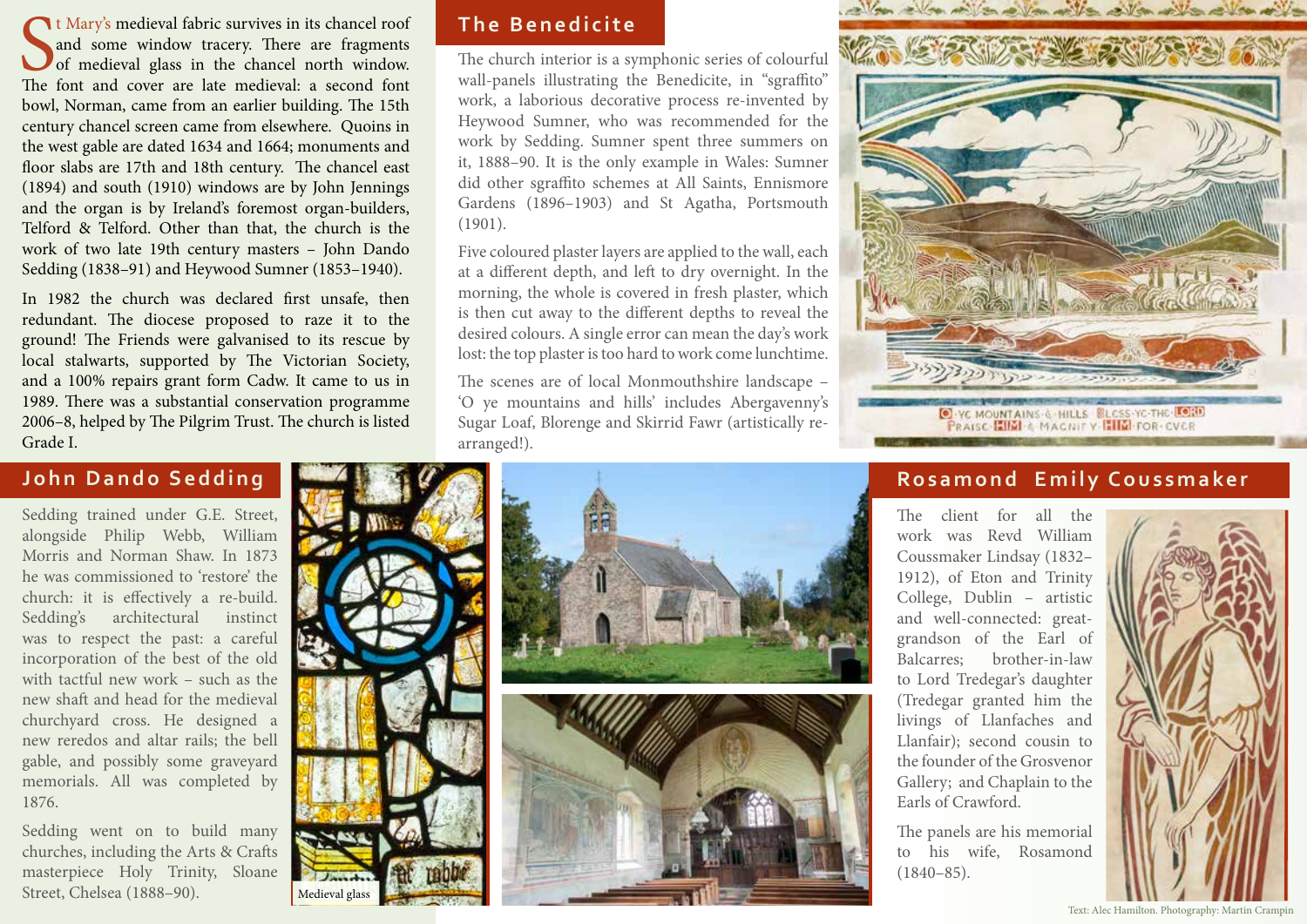It Mary's medieval fabric survives in its chancel roof and some window tracery. There are fragments of medieval glass in the chancel north window. The font and cover are late medieval: a second font t Mary's medieval fabric survives in its chancel roof and some window tracery. There are fragments of medieval glass in the chancel north window. bowl, Norman, came from an earlier building. The 15th century chancel screen came from elsewhere. Quoins in the west gable are dated 1634 and 1664; monuments and floor slabs are 17th and 18th century. The chancel east (1894) and south (1910) windows are by John Jennings and the organ is by Ireland's foremost organ-builders, Telford & Telford. Other than that, the church is the work of two late 19th century masters – John Dando Sedding (1838–91) and Heywood Sumner (1853–1940).

In 1982 the church was declared first unsafe, then redundant. The diocese proposed to raze it to the ground! The Friends were galvanised to its rescue by local stalwarts, supported by The Victorian Society, and a 100% repairs grant form Cadw. It came to us in 1989. There was a substantial conservation programme 2006–8, helped by The Pilgrim Trust. The church is listed Grade I.

## **John Dando Sedding**

Sedding trained under G.E. Street, alongside Philip Webb, William Morris and Norman Shaw. In 1873 he was commissioned to 'restore' the church: it is effectively a re-build. Sedding's architectural instinct was to respect the past: a careful incorporation of the best of the old with tactful new work – such as the new shaft and head for the medieval churchyard cross. He designed a new reredos and altar rails; the bell gable, and possibly some graveyard memorials. All was completed by 1876.

Sedding went on to build many churches, including the Arts & Crafts masterpiece Holy Trinity, Sloane Street, Chelsea (1888–90).

Medieval glass



The church interior is a symphonic series of colourful wall-panels illustrating the Benedicite, in "sgraffito" work, a laborious decorative process re-invented by Heywood Sumner, who was recommended for the work by Sedding. Sumner spent three summers on it, 1888–90. It is the only example in Wales: Sumner did other sgraffito schemes at All Saints, Ennismore Gardens (1896–1903) and St Agatha, Portsmouth (1901).

Five coloured plaster layers are applied to the wall, each at a different depth, and left to dry overnight. In the morning, the whole is covered in fresh plaster, which is then cut away to the different depths to reveal the desired colours. A single error can mean the day's work lost: the top plaster is too hard to work come lunchtime.

The scenes are of local Monmouthshire landscape – 'O ye mountains and hills' includes Abergavenny's Sugar Loaf, Blorenge and Skirrid Fawr (artistically rearranged!).







## **Rosamond Emily Coussmaker**

The client for all the work was Revd William Coussmaker Lindsay (1832– 1912), of Eton and Trinity College, Dublin – artistic and well-connected: greatgrandson of the Earl of Balcarres; brother-in-law to Lord Tredegar's daughter (Tredegar granted him the livings of Llanfaches and Llanfair); second cousin to the founder of the Grosvenor Gallery; and Chaplain to the Earls of Crawford.

The panels are his memorial to his wife, Rosamond  $(1840 - 85)$ .



Text: Alec Hamilton. Photography: Martin Crampin